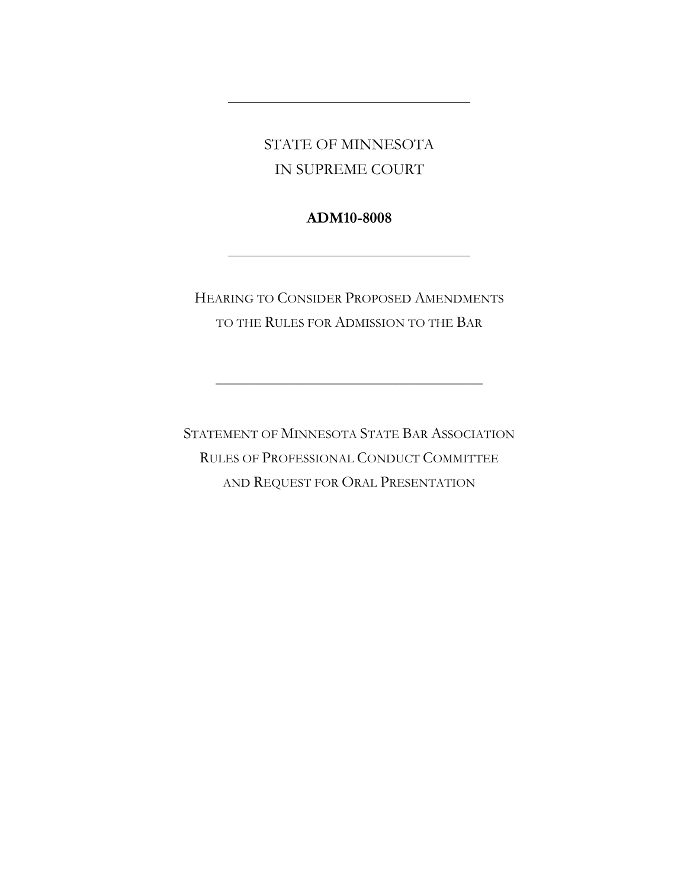STATE OF MINNESOTA IN SUPREME COURT

# **ADM10-8008**

HEARING TO CONSIDER PROPOSED AMENDMENTS TO THE RULES FOR ADMISSION TO THE BAR

\_\_\_\_\_\_\_\_\_\_\_\_\_\_\_\_\_\_\_\_\_\_\_\_\_\_\_\_\_\_\_\_\_\_

STATEMENT OF MINNESOTA STATE BAR ASSOCIATION RULES OF PROFESSIONAL CONDUCT COMMITTEE AND REQUEST FOR ORAL PRESENTATION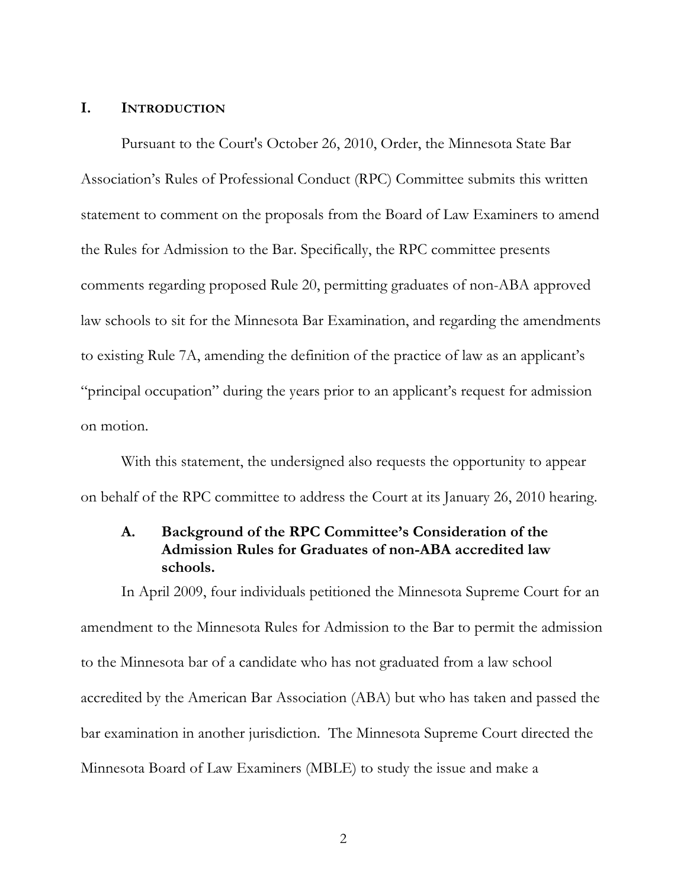### **I. INTRODUCTION**

Pursuant to the Court's October 26, 2010, Order, the Minnesota State Bar Association's Rules of Professional Conduct (RPC) Committee submits this written statement to comment on the proposals from the Board of Law Examiners to amend the Rules for Admission to the Bar. Specifically, the RPC committee presents comments regarding proposed Rule 20, permitting graduates of non-ABA approved law schools to sit for the Minnesota Bar Examination, and regarding the amendments to existing Rule 7A, amending the definition of the practice of law as an applicant's "principal occupation" during the years prior to an applicant's request for admission on motion.

With this statement, the undersigned also requests the opportunity to appear on behalf of the RPC committee to address the Court at its January 26, 2010 hearing.

### **A. Background of the RPC Committee's Consideration of the Admission Rules for Graduates of non-ABA accredited law schools.**

In April 2009, four individuals petitioned the Minnesota Supreme Court for an amendment to the Minnesota Rules for Admission to the Bar to permit the admission to the Minnesota bar of a candidate who has not graduated from a law school accredited by the American Bar Association (ABA) but who has taken and passed the bar examination in another jurisdiction. The Minnesota Supreme Court directed the Minnesota Board of Law Examiners (MBLE) to study the issue and make a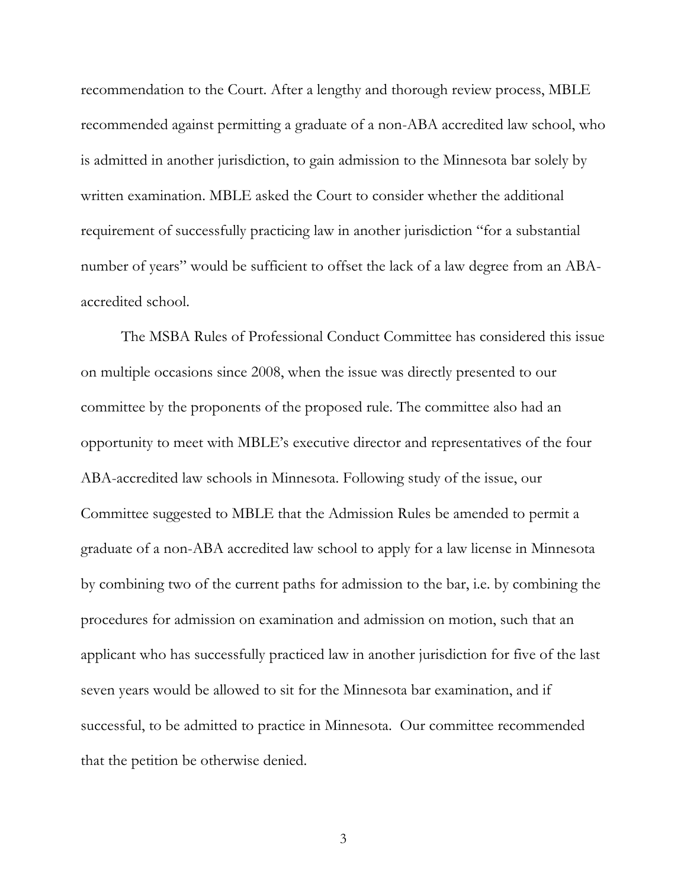recommendation to the Court. After a lengthy and thorough review process, MBLE recommended against permitting a graduate of a non-ABA accredited law school, who is admitted in another jurisdiction, to gain admission to the Minnesota bar solely by written examination. MBLE asked the Court to consider whether the additional requirement of successfully practicing law in another jurisdiction "for a substantial number of years" would be sufficient to offset the lack of a law degree from an ABAaccredited school.

The MSBA Rules of Professional Conduct Committee has considered this issue on multiple occasions since 2008, when the issue was directly presented to our committee by the proponents of the proposed rule. The committee also had an opportunity to meet with MBLE's executive director and representatives of the four ABA-accredited law schools in Minnesota. Following study of the issue, our Committee suggested to MBLE that the Admission Rules be amended to permit a graduate of a non-ABA accredited law school to apply for a law license in Minnesota by combining two of the current paths for admission to the bar, i.e. by combining the procedures for admission on examination and admission on motion, such that an applicant who has successfully practiced law in another jurisdiction for five of the last seven years would be allowed to sit for the Minnesota bar examination, and if successful, to be admitted to practice in Minnesota. Our committee recommended that the petition be otherwise denied.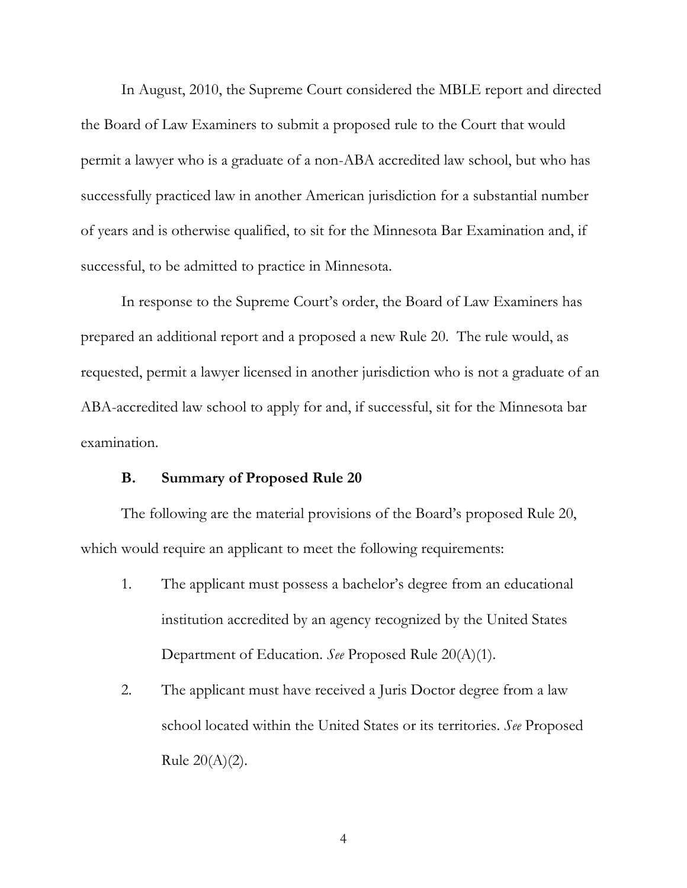In August, 2010, the Supreme Court considered the MBLE report and directed the Board of Law Examiners to submit a proposed rule to the Court that would permit a lawyer who is a graduate of a non-ABA accredited law school, but who has successfully practiced law in another American jurisdiction for a substantial number of years and is otherwise qualified, to sit for the Minnesota Bar Examination and, if successful, to be admitted to practice in Minnesota.

In response to the Supreme Court's order, the Board of Law Examiners has prepared an additional report and a proposed a new Rule 20. The rule would, as requested, permit a lawyer licensed in another jurisdiction who is not a graduate of an ABA-accredited law school to apply for and, if successful, sit for the Minnesota bar examination.

#### **B. Summary of Proposed Rule 20**

The following are the material provisions of the Board's proposed Rule 20, which would require an applicant to meet the following requirements:

- 1. The applicant must possess a bachelor's degree from an educational institution accredited by an agency recognized by the United States Department of Education. *See* Proposed Rule 20(A)(1).
- 2. The applicant must have received a Juris Doctor degree from a law school located within the United States or its territories. *See* Proposed Rule  $20(A)(2)$ .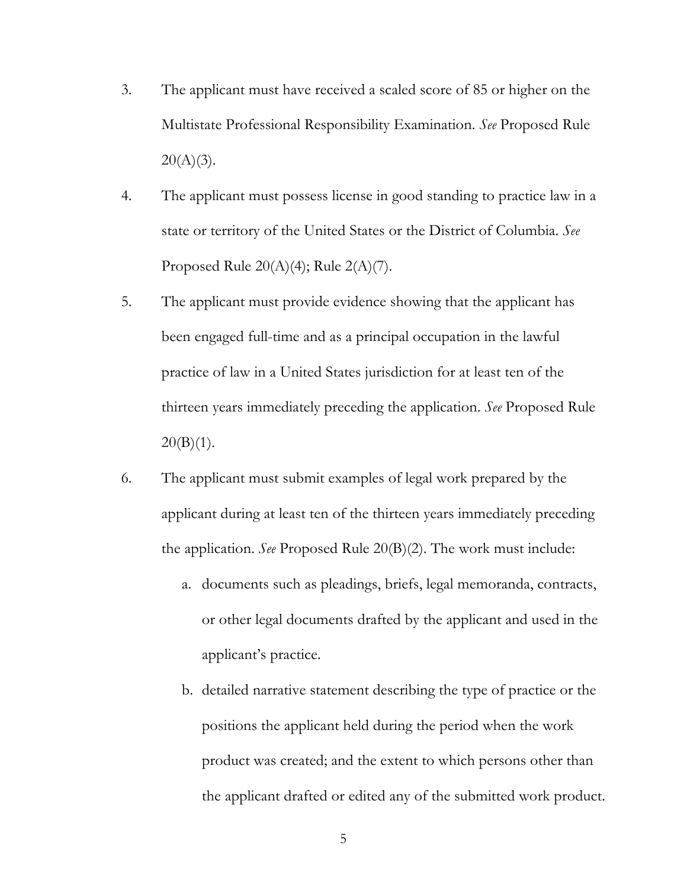- 3. The applicant must have received a scaled score of 85 or higher on the Multistate Professional Responsibility Examination. *See* Proposed Rule  $20(A)(3)$ .
- 4. The applicant must possess license in good standing to practice law in a state or territory of the United States or the District of Columbia. *See*  Proposed Rule  $20(A)(4)$ ; Rule  $2(A)(7)$ .
- 5. The applicant must provide evidence showing that the applicant has been engaged full-time and as a principal occupation in the lawful practice of law in a United States jurisdiction for at least ten of the thirteen years immediately preceding the application. *See* Proposed Rule  $20(B)(1)$ .
- 6. The applicant must submit examples of legal work prepared by the applicant during at least ten of the thirteen years immediately preceding the application. *See* Proposed Rule 20(B)(2). The work must include:
	- a. documents such as pleadings, briefs, legal memoranda, contracts, or other legal documents drafted by the applicant and used in the applicant's practice.
	- b. detailed narrative statement describing the type of practice or the positions the applicant held during the period when the work product was created; and the extent to which persons other than the applicant drafted or edited any of the submitted work product.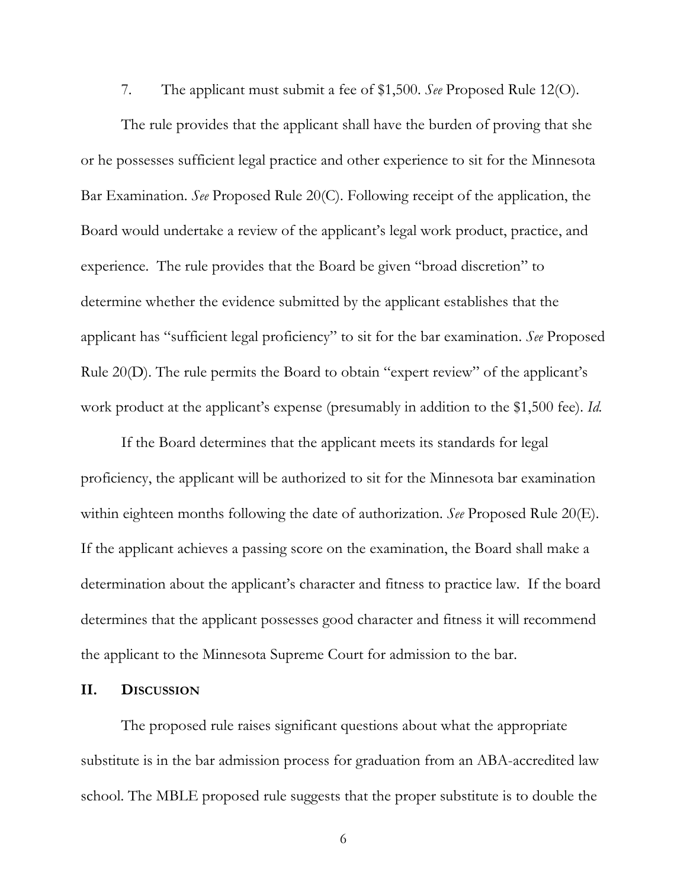7. The applicant must submit a fee of \$1,500. *See* Proposed Rule 12(O).

The rule provides that the applicant shall have the burden of proving that she or he possesses sufficient legal practice and other experience to sit for the Minnesota Bar Examination. *See* Proposed Rule 20(C). Following receipt of the application, the Board would undertake a review of the applicant's legal work product, practice, and experience. The rule provides that the Board be given "broad discretion" to determine whether the evidence submitted by the applicant establishes that the applicant has "sufficient legal proficiency" to sit for the bar examination. *See* Proposed Rule 20(D). The rule permits the Board to obtain "expert review" of the applicant's work product at the applicant's expense (presumably in addition to the \$1,500 fee). *Id.*

If the Board determines that the applicant meets its standards for legal proficiency, the applicant will be authorized to sit for the Minnesota bar examination within eighteen months following the date of authorization. *See* Proposed Rule 20(E). If the applicant achieves a passing score on the examination, the Board shall make a determination about the applicant's character and fitness to practice law. If the board determines that the applicant possesses good character and fitness it will recommend the applicant to the Minnesota Supreme Court for admission to the bar.

#### **II. DISCUSSION**

The proposed rule raises significant questions about what the appropriate substitute is in the bar admission process for graduation from an ABA-accredited law school. The MBLE proposed rule suggests that the proper substitute is to double the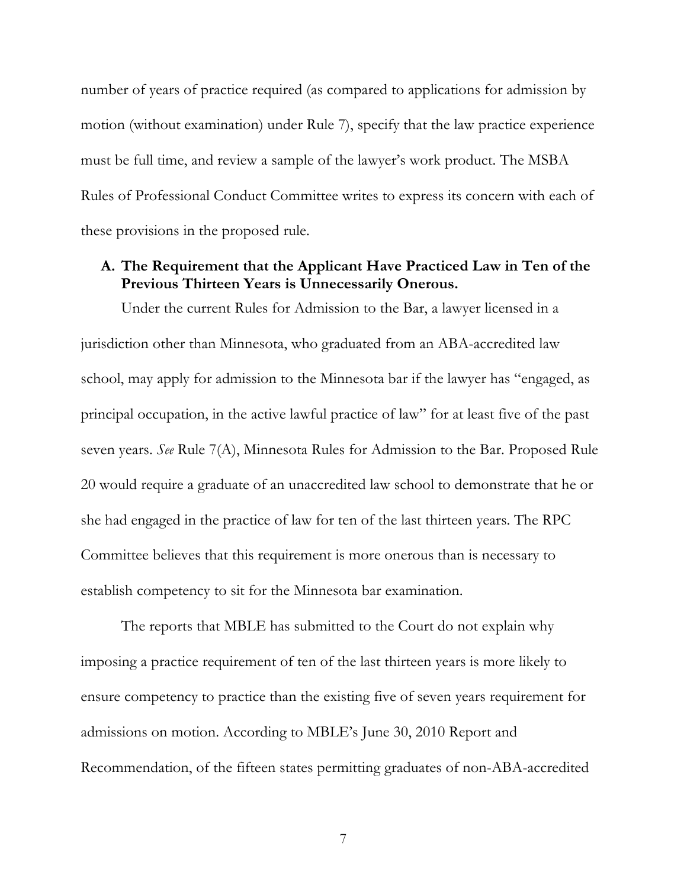number of years of practice required (as compared to applications for admission by motion (without examination) under Rule 7), specify that the law practice experience must be full time, and review a sample of the lawyer's work product. The MSBA Rules of Professional Conduct Committee writes to express its concern with each of these provisions in the proposed rule.

## **A. The Requirement that the Applicant Have Practiced Law in Ten of the Previous Thirteen Years is Unnecessarily Onerous.**

Under the current Rules for Admission to the Bar, a lawyer licensed in a jurisdiction other than Minnesota, who graduated from an ABA-accredited law school, may apply for admission to the Minnesota bar if the lawyer has "engaged, as principal occupation, in the active lawful practice of law" for at least five of the past seven years. *See* Rule 7(A), Minnesota Rules for Admission to the Bar. Proposed Rule 20 would require a graduate of an unaccredited law school to demonstrate that he or she had engaged in the practice of law for ten of the last thirteen years. The RPC Committee believes that this requirement is more onerous than is necessary to establish competency to sit for the Minnesota bar examination.

The reports that MBLE has submitted to the Court do not explain why imposing a practice requirement of ten of the last thirteen years is more likely to ensure competency to practice than the existing five of seven years requirement for admissions on motion. According to MBLE's June 30, 2010 Report and Recommendation, of the fifteen states permitting graduates of non-ABA-accredited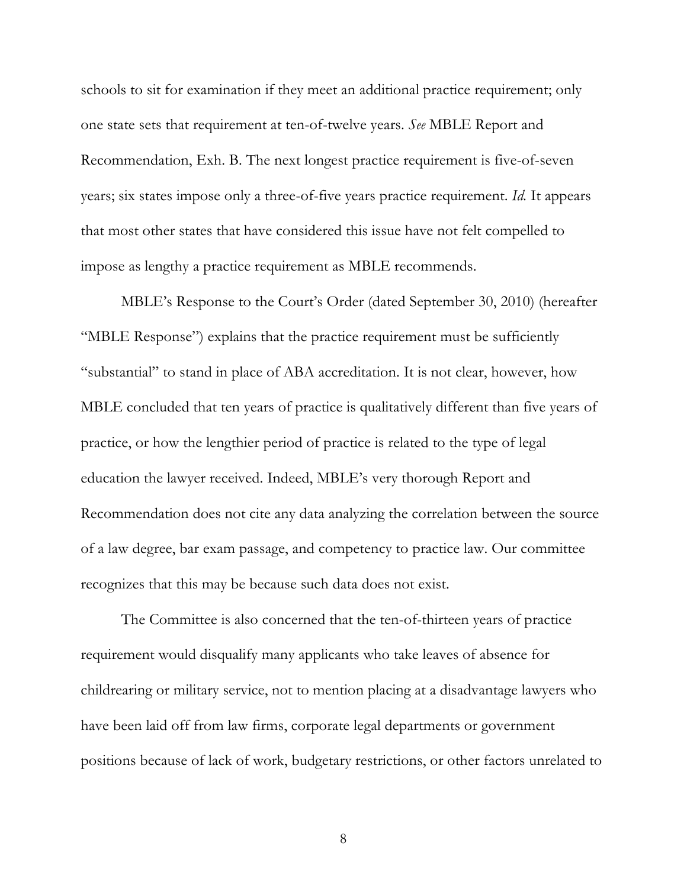schools to sit for examination if they meet an additional practice requirement; only one state sets that requirement at ten-of-twelve years. *See* MBLE Report and Recommendation, Exh. B. The next longest practice requirement is five-of-seven years; six states impose only a three-of-five years practice requirement. *Id.* It appears that most other states that have considered this issue have not felt compelled to impose as lengthy a practice requirement as MBLE recommends.

MBLE's Response to the Court's Order (dated September 30, 2010) (hereafter "MBLE Response") explains that the practice requirement must be sufficiently "substantial" to stand in place of ABA accreditation. It is not clear, however, how MBLE concluded that ten years of practice is qualitatively different than five years of practice, or how the lengthier period of practice is related to the type of legal education the lawyer received. Indeed, MBLE's very thorough Report and Recommendation does not cite any data analyzing the correlation between the source of a law degree, bar exam passage, and competency to practice law. Our committee recognizes that this may be because such data does not exist.

The Committee is also concerned that the ten-of-thirteen years of practice requirement would disqualify many applicants who take leaves of absence for childrearing or military service, not to mention placing at a disadvantage lawyers who have been laid off from law firms, corporate legal departments or government positions because of lack of work, budgetary restrictions, or other factors unrelated to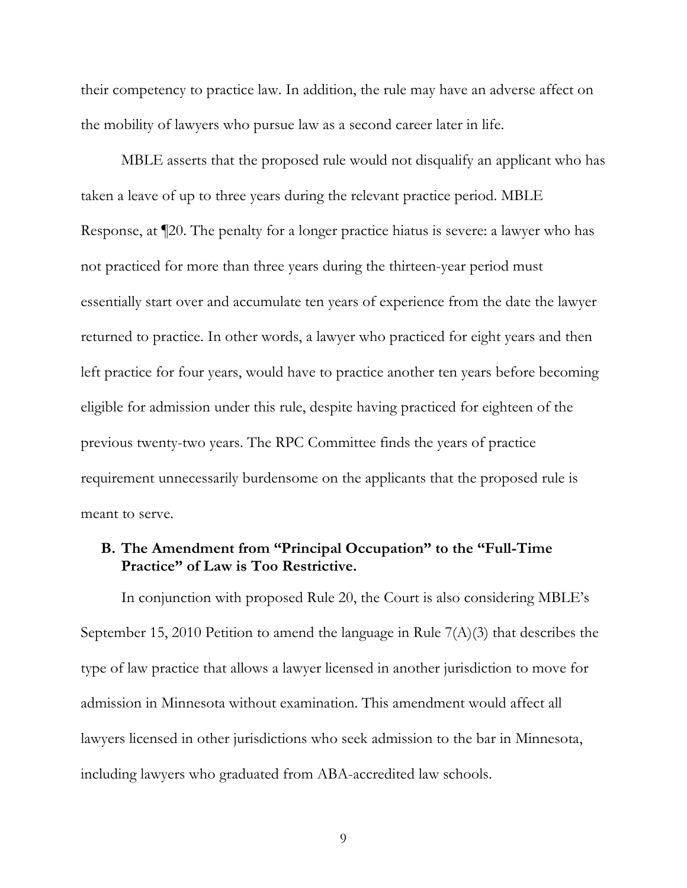their competency to practice law. In addition, the rule may have an adverse affect on the mobility of lawyers who pursue law as a second career later in life.

MBLE asserts that the proposed rule would not disqualify an applicant who has taken a leave of up to three years during the relevant practice period. MBLE Response, at ¶20. The penalty for a longer practice hiatus is severe: a lawyer who has not practiced for more than three years during the thirteen-year period must essentially start over and accumulate ten years of experience from the date the lawyer returned to practice. In other words, a lawyer who practiced for eight years and then left practice for four years, would have to practice another ten years before becoming eligible for admission under this rule, despite having practiced for eighteen of the previous twenty-two years. The RPC Committee finds the years of practice requirement unnecessarily burdensome on the applicants that the proposed rule is meant to serve.

## **B. The Amendment from "Principal Occupation" to the "Full-Time Practice" of Law is Too Restrictive.**

In conjunction with proposed Rule 20, the Court is also considering MBLE's September 15, 2010 Petition to amend the language in Rule  $7(A)(3)$  that describes the type of law practice that allows a lawyer licensed in another jurisdiction to move for admission in Minnesota without examination. This amendment would affect all lawyers licensed in other jurisdictions who seek admission to the bar in Minnesota, including lawyers who graduated from ABA-accredited law schools.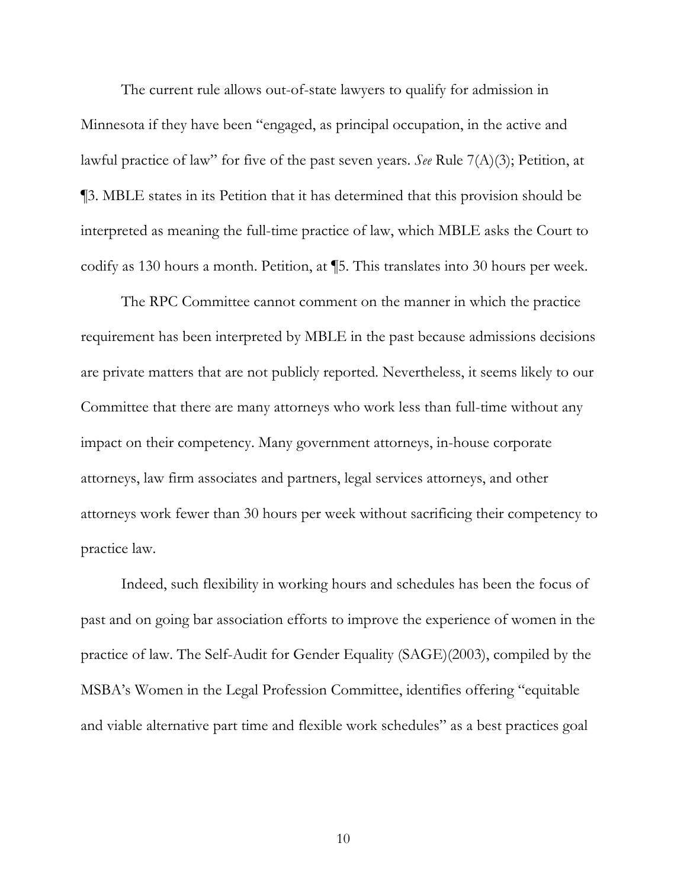The current rule allows out-of-state lawyers to qualify for admission in Minnesota if they have been "engaged, as principal occupation, in the active and lawful practice of law" for five of the past seven years. *See* Rule 7(A)(3); Petition, at ¶3. MBLE states in its Petition that it has determined that this provision should be interpreted as meaning the full-time practice of law, which MBLE asks the Court to codify as 130 hours a month. Petition, at ¶5. This translates into 30 hours per week.

The RPC Committee cannot comment on the manner in which the practice requirement has been interpreted by MBLE in the past because admissions decisions are private matters that are not publicly reported. Nevertheless, it seems likely to our Committee that there are many attorneys who work less than full-time without any impact on their competency. Many government attorneys, in-house corporate attorneys, law firm associates and partners, legal services attorneys, and other attorneys work fewer than 30 hours per week without sacrificing their competency to practice law.

Indeed, such flexibility in working hours and schedules has been the focus of past and on going bar association efforts to improve the experience of women in the practice of law. The Self-Audit for Gender Equality (SAGE)(2003), compiled by the MSBA's Women in the Legal Profession Committee, identifies offering "equitable and viable alternative part time and flexible work schedules" as a best practices goal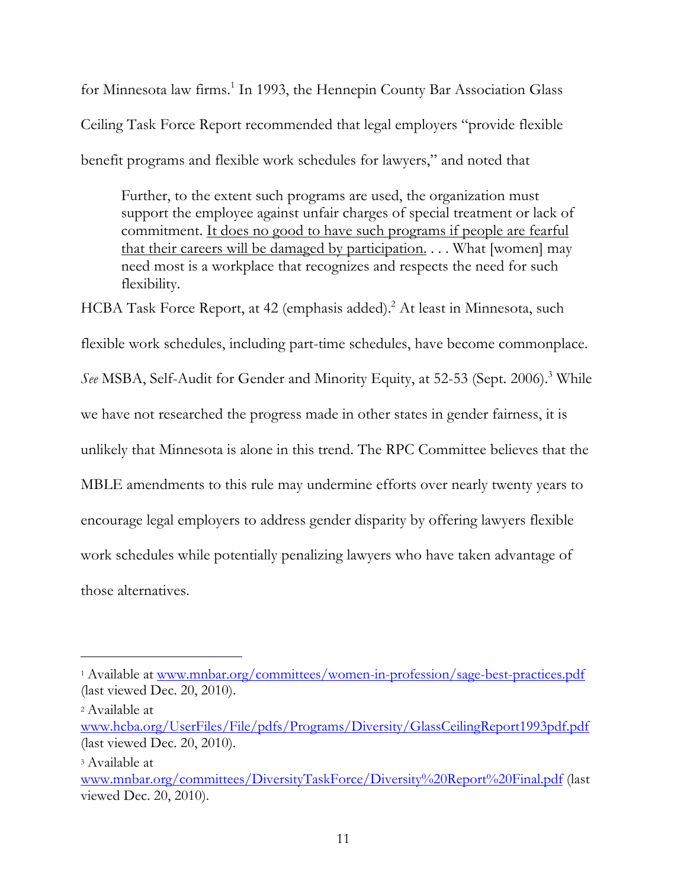for Minnesota law firms.<sup>1</sup> In 1993, the Hennepin County Bar Association Glass Ceiling Task Force Report recommended that legal employers "provide flexible benefit programs and flexible work schedules for lawyers," and noted that

Further, to the extent such programs are used, the organization must support the employee against unfair charges of special treatment or lack of commitment. It does no good to have such programs if people are fearful that their careers will be damaged by participation. . . . What [women] may need most is a workplace that recognizes and respects the need for such flexibility.

HCBA Task Force Report, at 42 (emphasis added).<sup>2</sup> At least in Minnesota, such flexible work schedules, including part-time schedules, have become commonplace. *See* MSBA, Self-Audit for Gender and Minority Equity, at 52-53 (Sept. 2006).<sup>3</sup> While we have not researched the progress made in other states in gender fairness, it is unlikely that Minnesota is alone in this trend. The RPC Committee believes that the MBLE amendments to this rule may undermine efforts over nearly twenty years to encourage legal employers to address gender disparity by offering lawyers flexible work schedules while potentially penalizing lawyers who have taken advantage of those alternatives.

<sup>2</sup> Available at

!!!!!!!!!!!!!!!!!!!!!!!!!!!!!!!!!!!!!!!!!!!!!!!!!!!!!!!!!!!!

<sup>1</sup> Available at www.mnbar.org/committees/women-in-profession/sage-best-practices.pdf (last viewed Dec. 20, 2010).

www.hcba.org/UserFiles/File/pdfs/Programs/Diversity/GlassCeilingReport1993pdf.pdf (last viewed Dec. 20, 2010).

<sup>3</sup> Available at

www.mnbar.org/committees/DiversityTaskForce/Diversity%20Report%20Final.pdf (last viewed Dec. 20, 2010).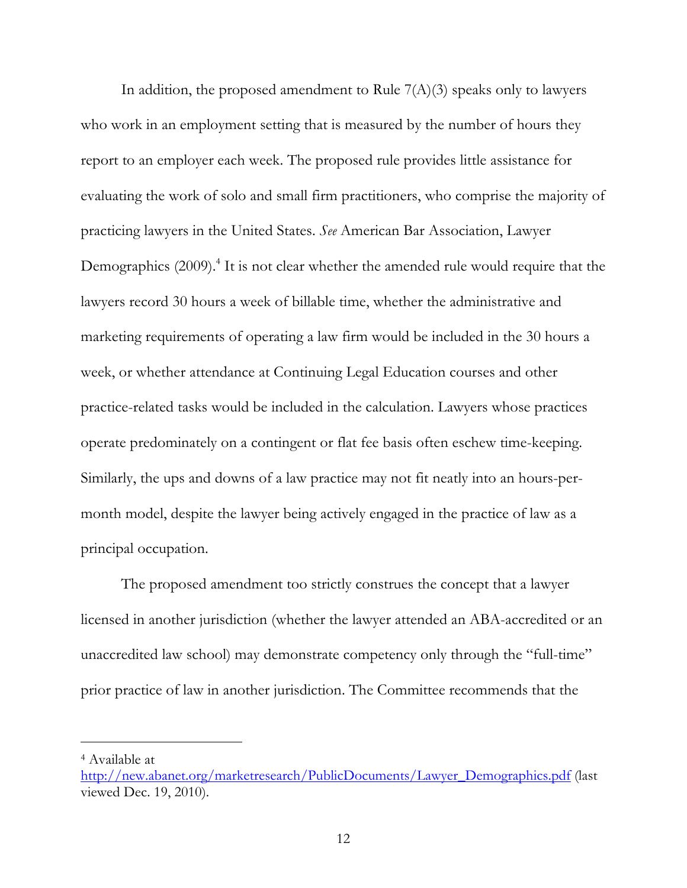In addition, the proposed amendment to Rule  $7(A)(3)$  speaks only to lawyers who work in an employment setting that is measured by the number of hours they report to an employer each week. The proposed rule provides little assistance for evaluating the work of solo and small firm practitioners, who comprise the majority of practicing lawyers in the United States. *See* American Bar Association, Lawyer Demographics (2009).<sup>4</sup> It is not clear whether the amended rule would require that the lawyers record 30 hours a week of billable time, whether the administrative and marketing requirements of operating a law firm would be included in the 30 hours a week, or whether attendance at Continuing Legal Education courses and other practice-related tasks would be included in the calculation. Lawyers whose practices operate predominately on a contingent or flat fee basis often eschew time-keeping. Similarly, the ups and downs of a law practice may not fit neatly into an hours-permonth model, despite the lawyer being actively engaged in the practice of law as a principal occupation.

The proposed amendment too strictly construes the concept that a lawyer licensed in another jurisdiction (whether the lawyer attended an ABA-accredited or an unaccredited law school) may demonstrate competency only through the "full-time" prior practice of law in another jurisdiction. The Committee recommends that the

!!!!!!!!!!!!!!!!!!!!!!!!!!!!!!!!!!!!!!!!!!!!!!!!!!!!!!!!!!!!

<sup>4</sup> Available at

http://new.abanet.org/marketresearch/PublicDocuments/Lawyer\_Demographics.pdf (last viewed Dec. 19, 2010).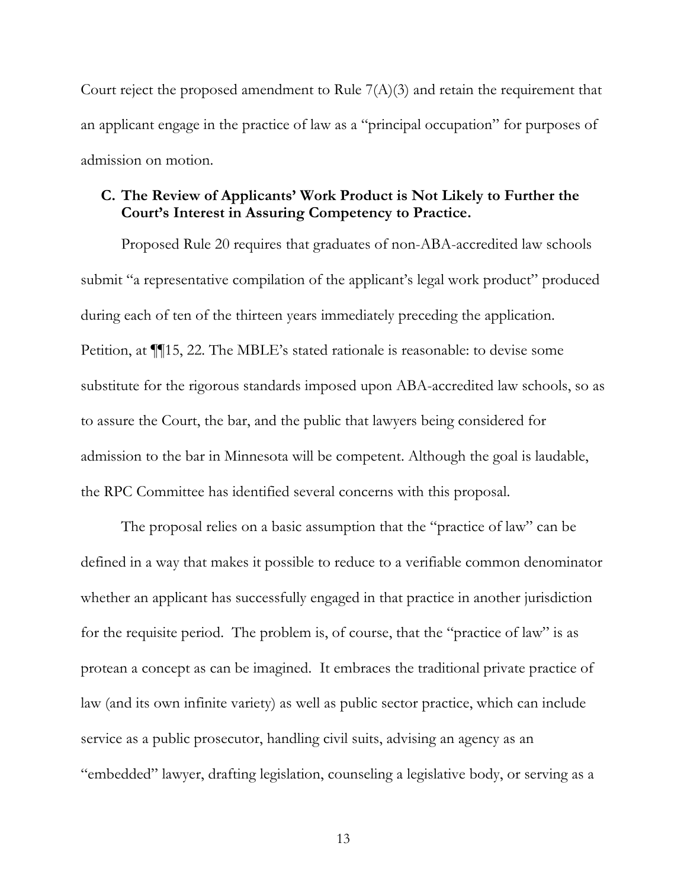Court reject the proposed amendment to Rule  $7(A)(3)$  and retain the requirement that an applicant engage in the practice of law as a "principal occupation" for purposes of admission on motion.

## **C. The Review of Applicants' Work Product is Not Likely to Further the Court's Interest in Assuring Competency to Practice.**

Proposed Rule 20 requires that graduates of non-ABA-accredited law schools submit "a representative compilation of the applicant's legal work product" produced during each of ten of the thirteen years immediately preceding the application. Petition, at ¶¶15, 22. The MBLE's stated rationale is reasonable: to devise some substitute for the rigorous standards imposed upon ABA-accredited law schools, so as to assure the Court, the bar, and the public that lawyers being considered for admission to the bar in Minnesota will be competent. Although the goal is laudable, the RPC Committee has identified several concerns with this proposal.

The proposal relies on a basic assumption that the "practice of law" can be defined in a way that makes it possible to reduce to a verifiable common denominator whether an applicant has successfully engaged in that practice in another jurisdiction for the requisite period. The problem is, of course, that the "practice of law" is as protean a concept as can be imagined. It embraces the traditional private practice of law (and its own infinite variety) as well as public sector practice, which can include service as a public prosecutor, handling civil suits, advising an agency as an "embedded" lawyer, drafting legislation, counseling a legislative body, or serving as a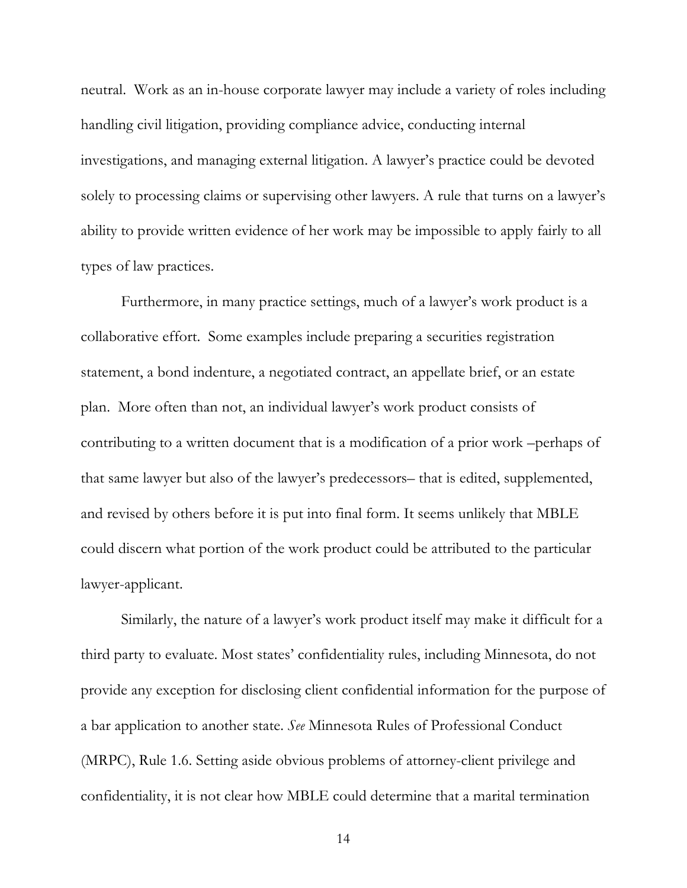neutral. Work as an in-house corporate lawyer may include a variety of roles including handling civil litigation, providing compliance advice, conducting internal investigations, and managing external litigation. A lawyer's practice could be devoted solely to processing claims or supervising other lawyers. A rule that turns on a lawyer's ability to provide written evidence of her work may be impossible to apply fairly to all types of law practices.

Furthermore, in many practice settings, much of a lawyer's work product is a collaborative effort. Some examples include preparing a securities registration statement, a bond indenture, a negotiated contract, an appellate brief, or an estate plan. More often than not, an individual lawyer's work product consists of contributing to a written document that is a modification of a prior work –perhaps of that same lawyer but also of the lawyer's predecessors– that is edited, supplemented, and revised by others before it is put into final form. It seems unlikely that MBLE could discern what portion of the work product could be attributed to the particular lawyer-applicant.

Similarly, the nature of a lawyer's work product itself may make it difficult for a third party to evaluate. Most states' confidentiality rules, including Minnesota, do not provide any exception for disclosing client confidential information for the purpose of a bar application to another state. *See* Minnesota Rules of Professional Conduct (MRPC), Rule 1.6. Setting aside obvious problems of attorney-client privilege and confidentiality, it is not clear how MBLE could determine that a marital termination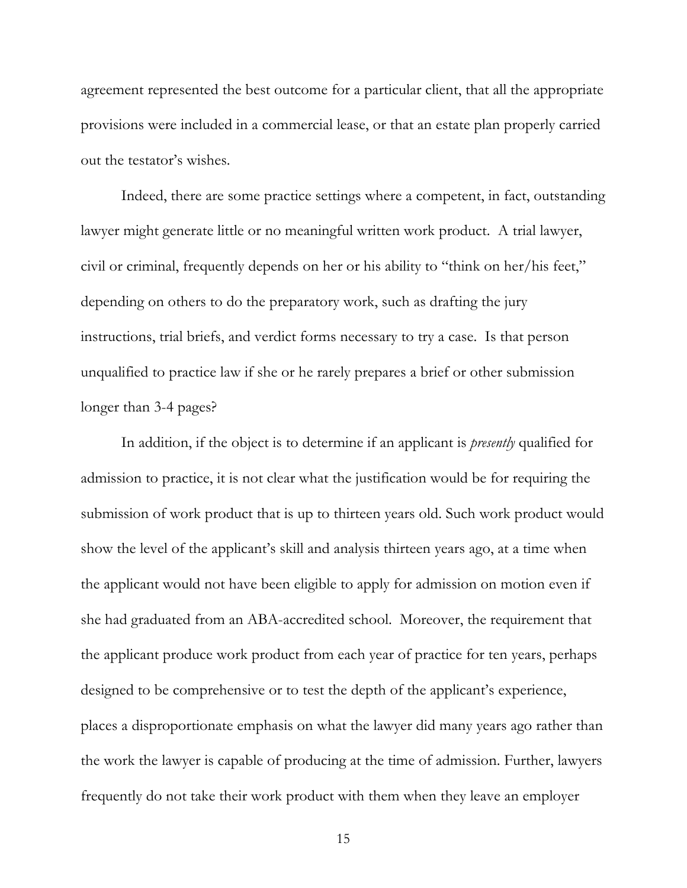agreement represented the best outcome for a particular client, that all the appropriate provisions were included in a commercial lease, or that an estate plan properly carried out the testator's wishes.

Indeed, there are some practice settings where a competent, in fact, outstanding lawyer might generate little or no meaningful written work product. A trial lawyer, civil or criminal, frequently depends on her or his ability to "think on her/his feet," depending on others to do the preparatory work, such as drafting the jury instructions, trial briefs, and verdict forms necessary to try a case. Is that person unqualified to practice law if she or he rarely prepares a brief or other submission longer than 3-4 pages?

In addition, if the object is to determine if an applicant is *presently* qualified for admission to practice, it is not clear what the justification would be for requiring the submission of work product that is up to thirteen years old. Such work product would show the level of the applicant's skill and analysis thirteen years ago, at a time when the applicant would not have been eligible to apply for admission on motion even if she had graduated from an ABA-accredited school. Moreover, the requirement that the applicant produce work product from each year of practice for ten years, perhaps designed to be comprehensive or to test the depth of the applicant's experience, places a disproportionate emphasis on what the lawyer did many years ago rather than the work the lawyer is capable of producing at the time of admission. Further, lawyers frequently do not take their work product with them when they leave an employer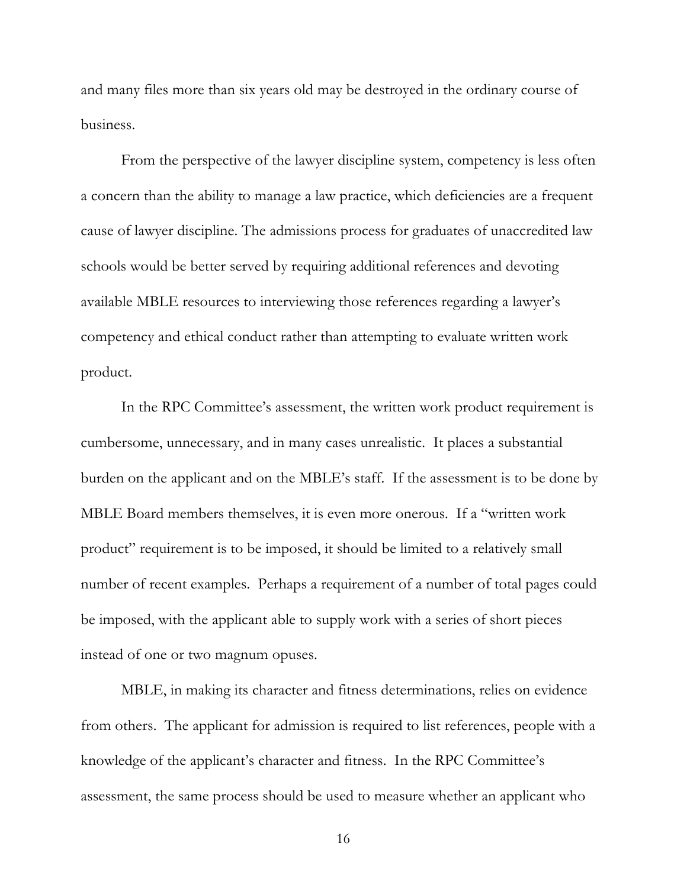and many files more than six years old may be destroyed in the ordinary course of business.

From the perspective of the lawyer discipline system, competency is less often a concern than the ability to manage a law practice, which deficiencies are a frequent cause of lawyer discipline. The admissions process for graduates of unaccredited law schools would be better served by requiring additional references and devoting available MBLE resources to interviewing those references regarding a lawyer's competency and ethical conduct rather than attempting to evaluate written work product.

In the RPC Committee's assessment, the written work product requirement is cumbersome, unnecessary, and in many cases unrealistic. It places a substantial burden on the applicant and on the MBLE's staff. If the assessment is to be done by MBLE Board members themselves, it is even more onerous. If a "written work product" requirement is to be imposed, it should be limited to a relatively small number of recent examples. Perhaps a requirement of a number of total pages could be imposed, with the applicant able to supply work with a series of short pieces instead of one or two magnum opuses.

MBLE, in making its character and fitness determinations, relies on evidence from others. The applicant for admission is required to list references, people with a knowledge of the applicant's character and fitness. In the RPC Committee's assessment, the same process should be used to measure whether an applicant who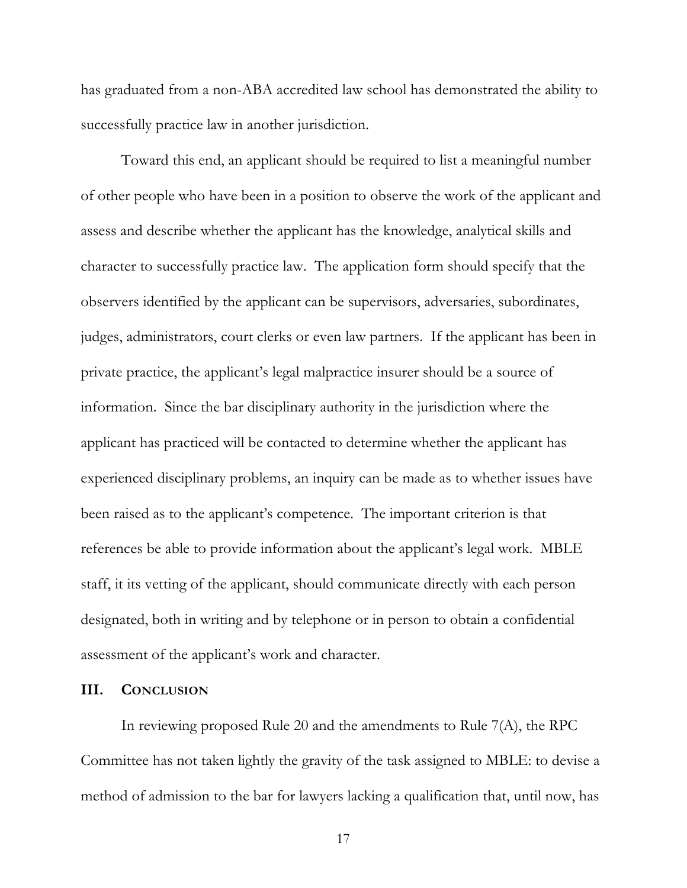has graduated from a non-ABA accredited law school has demonstrated the ability to successfully practice law in another jurisdiction.

Toward this end, an applicant should be required to list a meaningful number of other people who have been in a position to observe the work of the applicant and assess and describe whether the applicant has the knowledge, analytical skills and character to successfully practice law. The application form should specify that the observers identified by the applicant can be supervisors, adversaries, subordinates, judges, administrators, court clerks or even law partners. If the applicant has been in private practice, the applicant's legal malpractice insurer should be a source of information. Since the bar disciplinary authority in the jurisdiction where the applicant has practiced will be contacted to determine whether the applicant has experienced disciplinary problems, an inquiry can be made as to whether issues have been raised as to the applicant's competence. The important criterion is that references be able to provide information about the applicant's legal work. MBLE staff, it its vetting of the applicant, should communicate directly with each person designated, both in writing and by telephone or in person to obtain a confidential assessment of the applicant's work and character.

#### **III. CONCLUSION**

In reviewing proposed Rule 20 and the amendments to Rule 7(A), the RPC Committee has not taken lightly the gravity of the task assigned to MBLE: to devise a method of admission to the bar for lawyers lacking a qualification that, until now, has